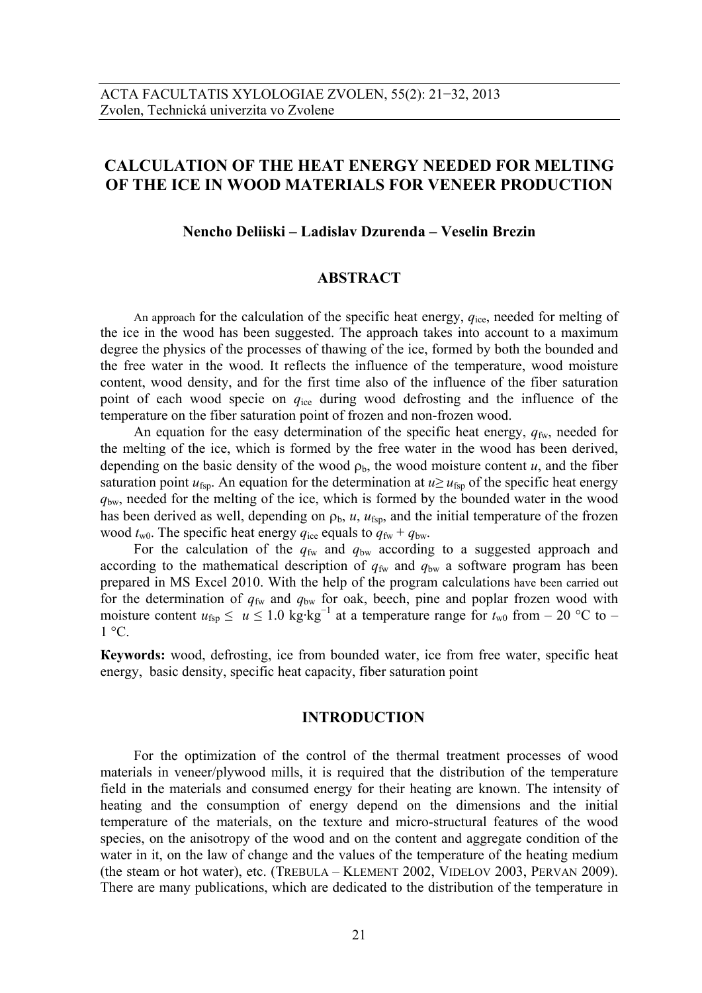# **CALCULATION OF THE HEAT ENERGY NEEDED FOR MELTING OF THE ICE IN WOOD MATERIALS FOR VENEER PRODUCTION**

### **Nencho Deliiski – Ladislav Dzurenda – Veselin Brezin**

### **ABSTRACT**

An approach for the calculation of the specific heat energy,  $q_{\text{ice}}$ , needed for melting of the ice in the wood has been suggested. The approach takes into account to a maximum degree the physics of the processes of thawing of the ice, formed by both the bounded and the free water in the wood. It reflects the influence of the temperature, wood moisture content, wood density, and for the first time also of the influence of the fiber saturation point of each wood specie on *q*ice during wood defrosting and the influence of the temperature on the fiber saturation point of frozen and non-frozen wood.

An equation for the easy determination of the specific heat energy,  $q_{fw}$ , needed for the melting of the ice, which is formed by the free water in the wood has been derived, depending on the basic density of the wood  $\rho_b$ , the wood moisture content  $u$ , and the fiber saturation point  $u_{\text{fsp}}$ . An equation for the determination at  $u \geq u_{\text{fsp}}$  of the specific heat energy *q*bw, needed for the melting of the ice, which is formed by the bounded water in the wood has been derived as well, depending on  $\rho_b$ ,  $u$ ,  $u_{\text{fsp}}$ , and the initial temperature of the frozen wood  $t_{\text{w0}}$ . The specific heat energy  $q_{\text{ice}}$  equals to  $q_{\text{fw}} + q_{\text{bw}}$ .

For the calculation of the  $q_{fw}$  and  $q_{bw}$  according to a suggested approach and according to the mathematical description of  $q_{fw}$  and  $q_{bw}$  a software program has been prepared in MS Excel 2010. With the help of the program calculations have been carried out for the determination of  $q_{fw}$  and  $q_{bw}$  for oak, beech, pine and poplar frozen wood with moisture content  $u_{\text{fsp}} \le u \le 1.0 \text{ kg} \cdot \text{kg}^{-1}$  at a temperature range for  $t_{w0}$  from – 20 °C to –  $1 \degree C$ 

**Кeywords:** wood, defrosting, ice from bounded water, ice from free water, specific heat energy, basic density, specific heat capacity, fiber saturation point

## **INTRODUCTION**

For the optimization of the control of the thermal treatment processes of wood materials in veneer/plywood mills, it is required that the distribution of the temperature field in the materials and consumed energy for their heating are known. The intensity of heating and the consumption of energy depend on the dimensions and the initial temperature of the materials, on the texture and micro-structural features of the wood species, on the anisotropy of the wood and on the content and aggregate condition of the water in it, on the law of change and the values of the temperature of the heating medium (the steam or hot water), etc. (TREBULA – KLEMENT 2002, VIDELOV 2003, PERVAN 2009). There are many publications, which are dedicated to the distribution of the temperature in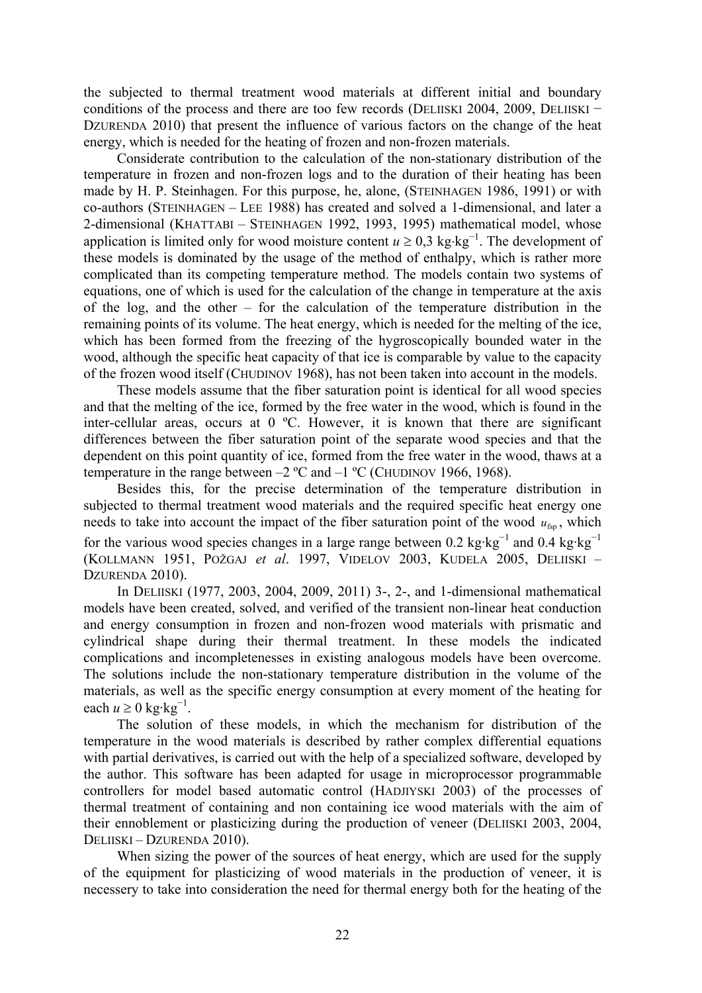the subjected to thermal treatment wood materials at different initial and boundary conditions of the process and there are too few records (DELIISKI 2004, 2009, DELIISKI – DZURENDA 2010) that present the influence of various factors on the change of the heat energy, which is needed for the heating of frozen and non-frozen materials.

Considerate contribution to the calculation of the non-stationary distribution of the temperature in frozen and non-frozen logs and to the duration of their heating has been made by H. P. Steinhagen. For this purpose, he, alone, (STEINHAGEN 1986, 1991) or with co-authors (STEINHAGEN – LEE 1988) has created and solved a 1-dimensional, and later a 2-dimensional (KHATTABI – STEINHAGEN 1992, 1993, 1995) mathematical model, whose application is limited only for wood moisture content  $u \ge 0.3$  kg⋅kg<sup>-1</sup>. The development of these models is dominated by the usage of the method of enthalpy, which is rather more complicated than its competing temperature method. The models contain two systems of equations, one of which is used for the calculation of the change in temperature at the axis of the log, and the other – for the calculation of the temperature distribution in the remaining points of its volume. The heat energy, which is needed for the melting of the ice, which has been formed from the freezing of the hygroscopically bounded water in the wood, although the specific heat capacity of that ice is comparable by value to the capacity of the frozen wood itself (CHUDINOV 1968), has not been taken into account in the models.

These models assume that the fiber saturation point is identical for all wood species and that the melting of the ice, formed by the free water in the wood, which is found in the inter-cellular areas, occurs at 0 ºC. However, it is known that there are significant differences between the fiber saturation point of the separate wood species and that the dependent on this point quantity of ice, formed from the free water in the wood, thaws at a temperature in the range between  $-2$  °C and  $-1$  °C (CHUDINOV 1966, 1968).

Besides this, for the precise determination of the temperature distribution in subjected to thermal treatment wood materials and the required specific heat energy one needs to take into account the impact of the fiber saturation point of the wood  $u_{\rm fs}$ , which for the various wood species changes in a large range between 0.2 kg⋅kg<sup>-1</sup> and 0.4 kg⋅kg<sup>-1</sup> (KOLLMANN 1951, POŽGAJ *et al*. 1997, VIDELOV 2003, KUDELA 2005, DELIISKI – DZURENDA 2010).

In DELIISKI (1977, 2003, 2004, 2009, 2011) 3-, 2-, and 1-dimensional mathematical models have been created, solved, and verified of the transient non-linear heat conduction and energy consumption in frozen and non-frozen wood materials with prismatic and cylindrical shape during their thermal treatment. In these models the indicated complications and incompletenesses in existing analogous models have been overcome. The solutions include the non-stationary temperature distribution in the volume of the materials, as well as the specific energy consumption at every moment of the heating for each  $u \ge 0$  kg·kg<sup>-1</sup>.

The solution of these models, in which the mechanism for distribution of the temperature in the wood materials is described by rather complex differential equations with partial derivatives, is carried out with the help of a specialized software, developed by the author. This software has been adapted for usage in microprocessor programmable controllers for model based automatic control (HADJIYSKI 2003) of the processes of thermal treatment of containing and non containing ice wood materials with the aim of their ennoblement or plasticizing during the production of veneer (DELIISKI 2003, 2004, DELIISKI – DZURENDA 2010).

When sizing the power of the sources of heat energy, which are used for the supply of the equipment for plasticizing of wood materials in the production of veneer, it is necessery to take into consideration the need for thermal energy both for the heating of the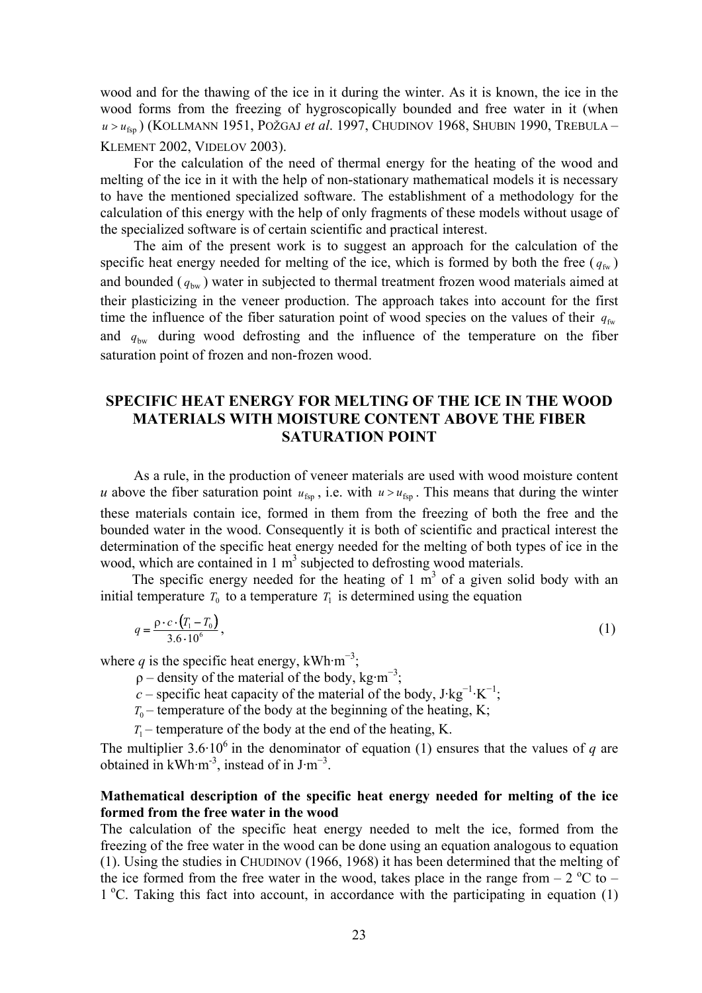wood and for the thawing of the ice in it during the winter. As it is known, the ice in the wood forms from the freezing of hygroscopically bounded and free water in it (when *u* >  $u_{fsn}$ ) (KOLLMANN 1951, POŽGAJ *et al.* 1997, CHUDINOV 1968, SHUBIN 1990, TREBULA – KLEMENT 2002, VIDELOV 2003).

For the calculation of the need of thermal energy for the heating of the wood and melting of the ice in it with the help of non-stationary mathematical models it is necessary to have the mentioned specialized software. The establishment of a methodology for the calculation of this energy with the help of only fragments of these models without usage of the specialized software is of certain scientific and practical interest.

The aim of the present work is to suggest an approach for the calculation of the specific heat energy needed for melting of the ice, which is formed by both the free  $(q_{fw})$ and bounded ( $q_{bw}$ ) water in subjected to thermal treatment frozen wood materials aimed at their plasticizing in the veneer production. The approach takes into account for the first time the influence of the fiber saturation point of wood species on the values of their  $q_{fw}$ and  $q_{\text{bw}}$  during wood defrosting and the influence of the temperature on the fiber saturation point of frozen and non-frozen wood.

# **SPECIFIC HEAT ENERGY FOR MELTING OF THE ICE IN THE WOOD MATERIALS WITH MOISTURE CONTENT ABOVE THE FIBER SATURATION POINT**

As a rule, in the production of veneer materials are used with wood moisture content *u* above the fiber saturation point  $u_{fsp}$ , i.e. with  $u > u_{fsp}$ . This means that during the winter these materials contain ice, formed in them from the freezing of both the free and the bounded water in the wood. Consequently it is both of scientific and practical interest the determination of the specific heat energy needed for the melting of both types of ice in the wood, which are contained in  $1 \text{ m}^3$  subjected to defrosting wood materials.

The specific energy needed for the heating of  $1 \text{ m}^3$  of a given solid body with an initial temperature  $T_0$  to a temperature  $T_1$  is determined using the equation

$$
q = \frac{\rho \cdot c \cdot (T_1 - T_0)}{3.6 \cdot 10^6},\tag{1}
$$

where *q* is the specific heat energy, kWh·m<sup>-3</sup>;

- $\rho$  density of the material of the body, kg·m<sup>-3</sup>;
- $c$  specific heat capacity of the material of the body, J·kg<sup>-1</sup>·K<sup>-1</sup>;
	- $T_0$  temperature of the body at the beginning of the heating, K;

 $T_1$  – temperature of the body at the end of the heating, K.

The multiplier  $3.6 \cdot 10^6$  in the denominator of equation (1) ensures that the values of *q* are obtained in kWh·m<sup>-3</sup>, instead of in  $J·m^{-3}$ .

## **Mathematical description of the specific heat energy needed for melting of the ice formed from the free water in the wood**

The calculation of the specific heat energy needed to melt the ice, formed from the freezing of the free water in the wood can be done using an equation analogous to equation (1). Using the studies in CHUDINOV (1966, 1968) it has been determined that the melting of the ice formed from the free water in the wood, takes place in the range from  $- 2$  °C to  $-$ 1 °C. Taking this fact into account, in accordance with the participating in equation (1)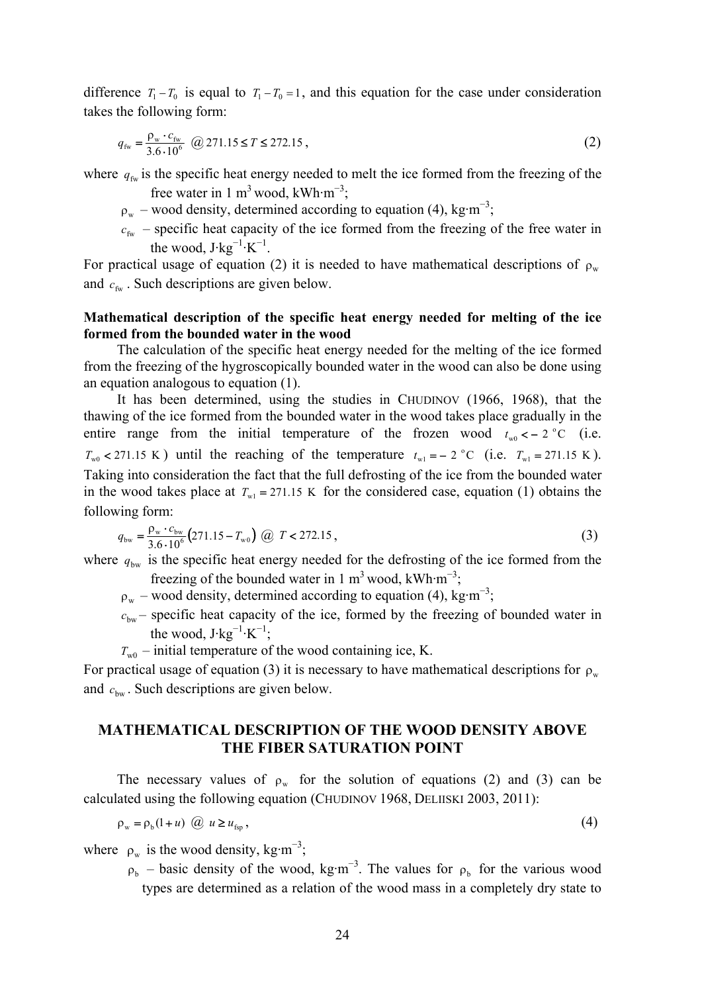difference  $T_1 - T_0$  is equal to  $T_1 - T_0 = 1$ , and this equation for the case under consideration takes the following form:

$$
q_{\text{fw}} = \frac{\rho_{\text{w}} \cdot c_{\text{fw}}}{3.6 \cdot 10^6} \quad \textcircled{a} \quad 271.15 \le T \le 272.15 \tag{2}
$$

where  $q_{fw}$  is the specific heat energy needed to melt the ice formed from the freezing of the

free water in 1 m<sup>3</sup> wood, kWh·m<sup>-3</sup>;

- $p_w$  wood density, determined according to equation (4), kg·m<sup>-3</sup>;
	- $c_{f_w}$  specific heat capacity of the ice formed from the freezing of the free water in the wood,  $J \cdot kg^{-1} \cdot K^{-1}$ .

For practical usage of equation (2) it is needed to have mathematical descriptions of  $\rho_w$ and  $c_{\text{fw}}$ . Such descriptions are given below.

### **Mathematical description of the specific heat energy needed for melting of the ice formed from the bounded water in the wood**

The calculation of the specific heat energy needed for the melting of the ice formed from the freezing of the hygroscopically bounded water in the wood can also be done using an equation analogous to equation (1).

It has been determined, using the studies in CHUDINOV (1966, 1968), that the thawing of the ice formed from the bounded water in the wood takes place gradually in the entire range from the initial temperature of the frozen wood  $t_{w0} < -2$  °C (i.e.  $T_{w0}$  < 271.15 K) until the reaching of the temperature  $t_{w1} = -2$  °C (i.e.  $T_{w1} = 271.15$  K). Taking into consideration the fact that the full defrosting of the ice from the bounded water in the wood takes place at  $T_{w1} = 271.15 \text{ K}$  for the considered case, equation (1) obtains the following form:

$$
q_{\text{bw}} = \frac{\rho_{\text{w}} \cdot c_{\text{bw}}}{3.6 \cdot 10^6} \left(271.15 - T_{\text{w0}}\right) \quad (2) \quad T < 272.15 \tag{3}
$$

where  $q_{\text{bw}}$  is the specific heat energy needed for the defrosting of the ice formed from the freezing of the bounded water in 1 m<sup>3</sup> wood, kWh·m<sup>-3</sup>;

- $\rho_w$  wood density, determined according to equation (4), kg·m<sup>-3</sup>;
	- $c_{\text{bw}}$  specific heat capacity of the ice, formed by the freezing of bounded water in the wood,  $J \cdot kg^{-1} \cdot K^{-1}$ ;
	- $T_{w0}$  initial temperature of the wood containing ice, K.

For practical usage of equation (3) it is necessary to have mathematical descriptions for  $\rho_w$ and  $c<sub>bw</sub>$ . Such descriptions are given below.

## **MATHEMATICAL DESCRIPTION OF THE WOOD DENSITY ABOVE THE FIBER SATURATION POINT**

The necessary values of  $\rho_w$  for the solution of equations (2) and (3) can be calculated using the following equation (CHUDINOV 1968, DELIISKI 2003, 2011):

$$
\rho_{w} = \rho_{b}(1+u) \quad \text{(a)} \quad u \ge u_{\text{fsp}} \tag{4}
$$

where  $\rho_w$  is the wood density, kg·m<sup>-3</sup>;

 $p_b$  – basic density of the wood, kg·m<sup>-3</sup>. The values for  $p_b$  for the various wood types are determined as a relation of the wood mass in a completely dry state to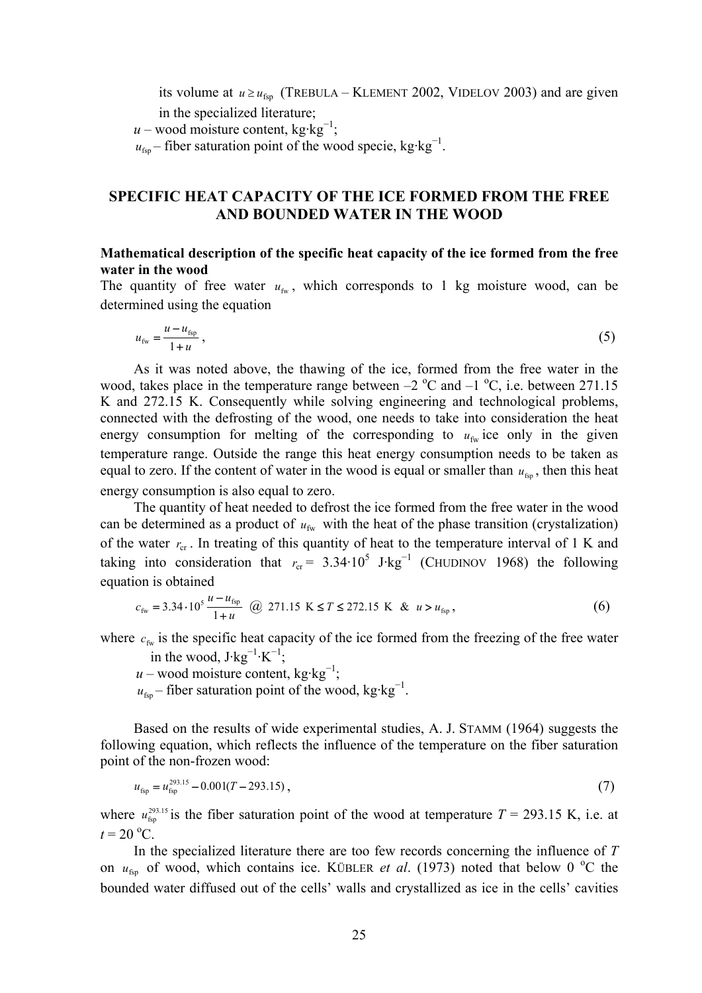its volume at  $u \ge u_{fsp}$  (TREBULA – KLEMENT 2002, VIDELOV 2003) and are given in the specialized literature;

 $u$  – wood moisture content, kg·kg<sup>-1</sup>;

 $u_{\text{fsp}}$  – fiber saturation point of the wood specie, kg·kg<sup>-1</sup>.

# **SPECIFIC HEAT CAPACITY OF THE ICE FORMED FROM THE FREE AND BOUNDED WATER IN THE WOOD**

# **Mathematical description of the specific heat capacity of the ice formed from the free water in the wood**

The quantity of free water  $u_{\text{fw}}$ , which corresponds to 1 kg moisture wood, can be determined using the equation

$$
u_{\text{fw}} = \frac{u - u_{\text{fsp}}}{1 + u},\tag{5}
$$

As it was noted above, the thawing of the ice, formed from the free water in the wood, takes place in the temperature range between  $-2$  °C and  $-1$  °C, i.e. between 271.15 K and 272.15 K. Consequently while solving engineering and technological problems, connected with the defrosting of the wood, one needs to take into consideration the heat energy consumption for melting of the corresponding to  $u_{fw}$  ice only in the given temperature range. Outside the range this heat energy consumption needs to be taken as equal to zero. If the content of water in the wood is equal or smaller than  $u_{fsp}$ , then this heat energy consumption is also equal to zero.

The quantity of heat needed to defrost the ice formed from the free water in the wood can be determined as a product of  $u_{fw}$  with the heat of the phase transition (crystalization) of the water  $r_{cr}$ . In treating of this quantity of heat to the temperature interval of 1 K and taking into consideration that  $r_{cr} = 3.34 \cdot 10^5$  J·kg<sup>-1</sup> (CHUDINOV 1968) the following equation is obtained

$$
c_{\text{fw}} = 3.34 \cdot 10^5 \frac{u - u_{\text{fsp}}}{1 + u} \quad \text{(a)} \quad 271.15 \text{ K} \le T \le 272.15 \text{ K} \quad \text{&} \quad u > u_{\text{fsp}} \,, \tag{6}
$$

where  $c_{fw}$  is the specific heat capacity of the ice formed from the freezing of the free water

in the wood,  $J \cdot kg^{-1} \cdot K^{-1}$ ;  $u$  – wood moisture content, kg·kg<sup>-1</sup>;

 $u_{\text{fsp}}$  – fiber saturation point of the wood, kg·kg<sup>-1</sup>.

Based on the results of wide experimental studies, A. J. STAMM (1964) suggests the following equation, which reflects the influence of the temperature on the fiber saturation point of the non-frozen wood:

$$
u_{\rm fsp} = u_{\rm fsp}^{293.15} - 0.001(T - 293.15),\tag{7}
$$

where  $u_{\rm{fsp}}^{293.15}$  is the fiber saturation point of the wood at temperature  $T = 293.15$  K, i.e. at  $t = 20$  °C.

In the specialized literature there are too few records concerning the influence of *Т* on  $u_{\text{fsp}}$  of wood, which contains ice. KÜBLER *et al.* (1973) noted that below 0 °C the bounded water diffused out of the cells' walls and crystallized as ice in the cells' cavities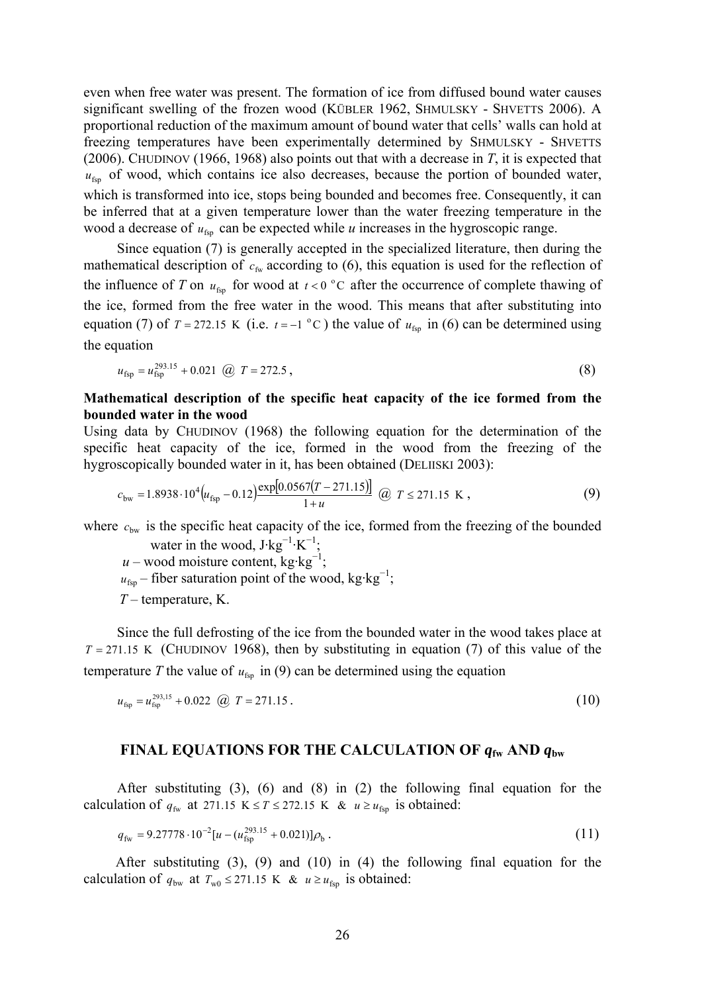even when free water was present. The formation of ice from diffused bound water causes significant swelling of the frozen wood (KÜBLER 1962, SHMULSKY - SHVETTS 2006). A proportional reduction of the maximum amount of bound water that cells' walls can hold at freezing temperatures have been experimentally determined by SHMULSKY - SHVETTS (2006). CHUDINOV (1966, 1968) also points out that with a decrease in *T*, it is expected that  $u_{fsn}$  of wood, which contains ice also decreases, because the portion of bounded water, which is transformed into ice, stops being bounded and becomes free. Consequently, it can be inferred that at a given temperature lower than the water freezing temperature in the wood a decrease of  $u_{fsp}$  can be expected while *u* increases in the hygroscopic range.

Since equation (7) is generally accepted in the specialized literature, then during the mathematical description of  $c_{fw}$  according to (6), this equation is used for the reflection of the influence of *T* on  $u_{\text{fsp}}$  for wood at  $t < 0$  °C after the occurrence of complete thawing of the ice, formed from the free water in the wood. This means that after substituting into equation (7) of  $T = 272.15$  K (i.e.  $t = -1$  °C) the value of  $u_{fsp}$  in (6) can be determined using the equation

$$
u_{\rm fsp} = u_{\rm fsp}^{293.15} + 0.021 \quad \textcircled{a} \quad T = 272.5 \tag{8}
$$

## **Mathematical description of the specific heat capacity of the ice formed from the bounded water in the wood**

Using data by CHUDINOV (1968) the following equation for the determination of the specific heat capacity of the ice, formed in the wood from the freezing of the hygroscopically bounded water in it, has been obtained (DELIISKI 2003):

$$
c_{\text{bw}} = 1.8938 \cdot 10^4 \left( u_{\text{fsp}} - 0.12 \right) \frac{\exp[0.0567(T - 271.15)]}{1 + u} \quad \text{(2)} \quad T \le 271.15 \text{ K} \tag{9}
$$

where  $c_{\text{bw}}$  is the specific heat capacity of the ice, formed from the freezing of the bounded water in the wood,  $J$ ·kg<sup>-1</sup>·K<sup>-1</sup>;

 $u$  – wood moisture content, kg·kg<sup>-1</sup>;

 $u_{\text{fsp}}$  – fiber saturation point of the wood, kg·kg<sup>-1</sup>;

*T* – temperature, K.

Since the full defrosting of the ice from the bounded water in the wood takes place at  $T = 271.15$  K (CHUDINOV 1968), then by substituting in equation (7) of this value of the temperature *T* the value of  $u_{fsp}$  in (9) can be determined using the equation

$$
u_{\rm fsp} = u_{\rm fsp}^{293,15} + 0.022 \quad \text{(2)} \quad T = 271.15 \tag{10}
$$

### **FINAL EQUATIONS FOR THE CALCULATION OF** *q***fw AND** *q***bw**

After substituting (3), (6) and (8) in (2) the following final equation for the calculation of  $q_{fw}$  at 271.15 K  $\leq T \leq 272.15$  K &  $u \geq u_{fsp}$  is obtained:

$$
q_{\rm fw} = 9.27778 \cdot 10^{-2} [u - (u_{\rm fsp}^{293.15} + 0.021)] \rho_{\rm b} \,. \tag{11}
$$

 After substituting (3), (9) and (10) in (4) the following final equation for the calculation of  $q_{bw}$  at  $T_{w0} \le 271.15$  K &  $u \ge u_{fsp}$  is obtained: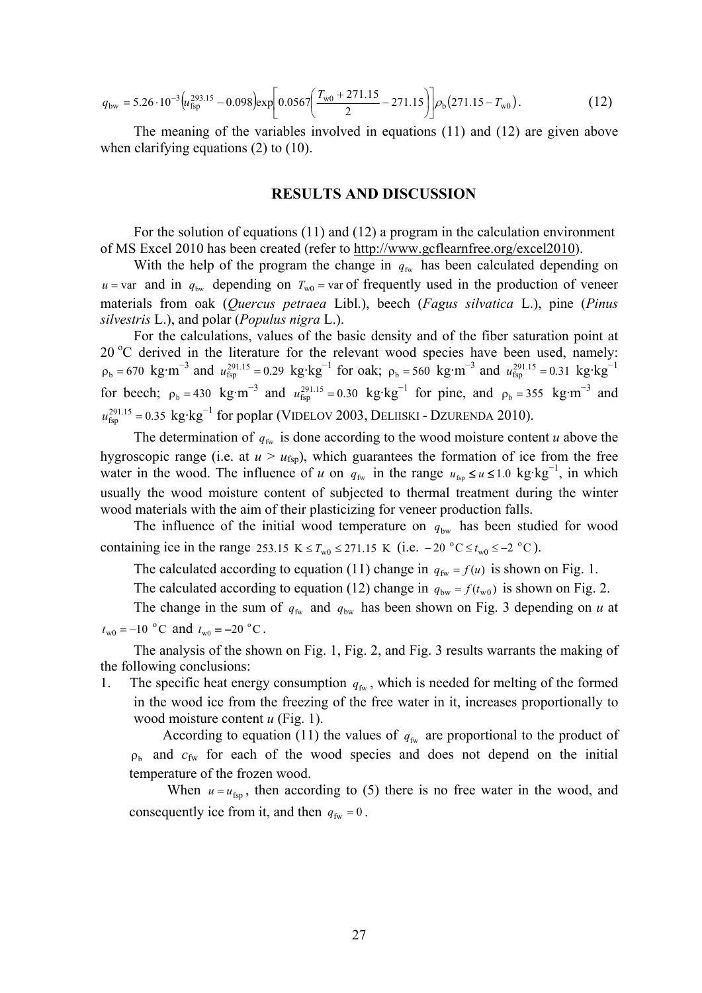$$
q_{\rm bw} = 5.26 \cdot 10^{-3} \left( u_{\rm fsp}^{293.15} - 0.098 \right) \exp \left[ 0.0567 \left( \frac{T_{\rm w0} + 271.15}{2} - 271.15 \right) \right] \rho_{\rm b} (271.15 - T_{\rm w0}). \tag{12}
$$

The meaning of the variables involved in equations (11) and (12) are given above when clarifying equations (2) to (10).

#### **RESULTS AND DISCUSSION**

For the solution of equations (11) and (12) a program in the calculation environment of MS Excel 2010 has been created (refer to http://www.gcflearnfree.org/excel2010).

With the help of the program the change in  $q_{fw}$  has been calculated depending on  $u = \text{var}$  and in  $q_{\text{bw}}$  depending on  $T_{\text{w0}} = \text{var}$  of frequently used in the production of veneer materials from oak (*Quercus petraea* Libl.), beech (*Fagus silvatica* L.), pine (*Pinus silvestris* L.), and polar (*Populus nigra* L.).

For the calculations, values of the basic density and of the fiber saturation point at 20 °C derived in the literature for the relevant wood species have been used, namely:  $\rho_b = 670 \text{ kg} \cdot \text{m}^{-3}$  and  $u_{\text{fsp}}^{291.15} = 0.29 \text{ kg} \cdot \text{kg}^{-1}$  for oak;  $\rho_b = 560 \text{ kg} \cdot \text{m}^{-3}$  and  $u_{\text{fsp}}^{291.15} = 0.31 \text{ kg} \cdot \text{kg}^{-1}$ for beech;  $\rho_b = 430 \text{ kg} \cdot \text{m}^{-3}$  and  $u_{\text{fsp}}^{291.15} = 0.30 \text{ kg} \cdot \text{kg}^{-1}$  for pine, and  $\rho_b = 355 \text{ kg} \cdot \text{m}^{-3}$  and  $u_{\text{fsp}}^{291.15}$  = 0.35 kg·kg<sup>-1</sup> for poplar (VIDELOV 2003, DELIISKI - DZURENDA 2010).

The determination of  $q_{fw}$  is done according to the wood moisture content *u* above the hygroscopic range (i.e. at  $u > u_{\text{fsp}}$ ), which guarantees the formation of ice from the free water in the wood. The influence of *u* on  $q_{fw}$  in the range  $u_{fw} \le u \le 1.0$  kg·kg<sup>-1</sup>, in which usually the wood moisture content of subjected to thermal treatment during the winter wood materials with the aim of their plasticizing for veneer production falls.

The influence of the initial wood temperature on  $q_{bw}$  has been studied for wood containing ice in the range 253.15 K  $\leq T_{w0} \leq 271.15$  K (i.e.  $-20$  °C  $\leq t_{w0} \leq -2$  °C).

The calculated according to equation (11) change in  $q_{fw} = f(u)$  is shown on Fig. 1.

The calculated according to equation (12) change in  $q_{bw} = f(t_{w0})$  is shown on Fig. 2.

The change in the sum of  $q_{fw}$  and  $q_{bw}$  has been shown on Fig. 3 depending on *u* at  $t_{\text{w0}} = -10$  °C and  $t_{\text{w0}} = -20$  °C.

The analysis of the shown on Fig. 1, Fig. 2, and Fig. 3 results warrants the making of the following conclusions:

1. The specific heat energy consumption  $q_{fw}$ , which is needed for melting of the formed in the wood ice from the freezing of the free water in it, increases proportionally to wood moisture content *u* (Fig. 1).

According to equation (11) the values of  $q_{fw}$  are proportional to the product of  $\rho_h$  and  $c_{fw}$  for each of the wood species and does not depend on the initial temperature of the frozen wood.

When  $u = u_{\text{fsp}}$ , then according to (5) there is no free water in the wood, and consequently ice from it, and then  $q_{fw} = 0$ .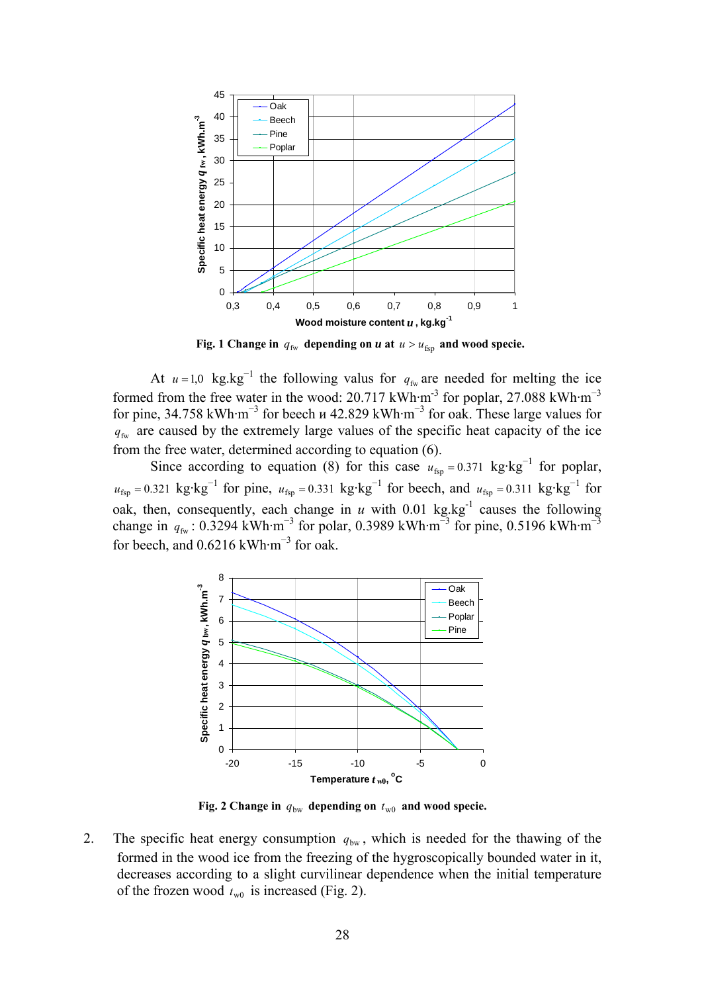

 **Fig. 1 Change in**  $q_{fw}$  depending on *u* at  $u > u_{fsp}$  and wood specie.

At  $u = 1.0$  kg.kg<sup>-1</sup> the following valus for  $q_{fw}$  are needed for melting the ice formed from the free water in the wood: 20.717 kWh·m<sup>-3</sup> for poplar, 27.088 kWh·m<sup>-3</sup> for pine, 34.758 kWh·m<sup>-3</sup> for beech  $u$  42.829 kWh·m<sup>-3</sup> for oak. These large values for  $q_{fw}$  are caused by the extremely large values of the specific heat capacity of the ice from the free water, determined according to equation (6).

Since according to equation (8) for this case  $u_{\text{fsp}} = 0.371 \text{ kg} \cdot \text{kg}^{-1}$  for poplar,  $u_{\text{fsp}} = 0.321 \text{ kg} \cdot \text{kg}^{-1}$  for pine,  $u_{\text{fsp}} = 0.331 \text{ kg} \cdot \text{kg}^{-1}$  for beech, and  $u_{\text{fsp}} = 0.311 \text{ kg} \cdot \text{kg}^{-1}$  for oak, then, consequently, each change in  $u$  with 0.01 kg.kg<sup>-1</sup> causes the following change in  $q_{fw}$ : 0.3294 kWh·m<sup>-3</sup> for polar, 0.3989 kWh·m<sup>-3</sup> for pine, 0.5196 kWh·m<sup>-3</sup> for beech, and  $0.6216$  kWh·m<sup>-3</sup> for oak.



**Fig. 2 Change in**  $q_{bw}$  depending on  $t_{w0}$  and wood specie.

2. The specific heat energy consumption  $q_{bw}$ , which is needed for the thawing of the formed in the wood ice from the freezing of the hygroscopically bounded water in it, decreases according to a slight curvilinear dependence when the initial temperature of the frozen wood  $t_{w0}$  is increased (Fig. 2).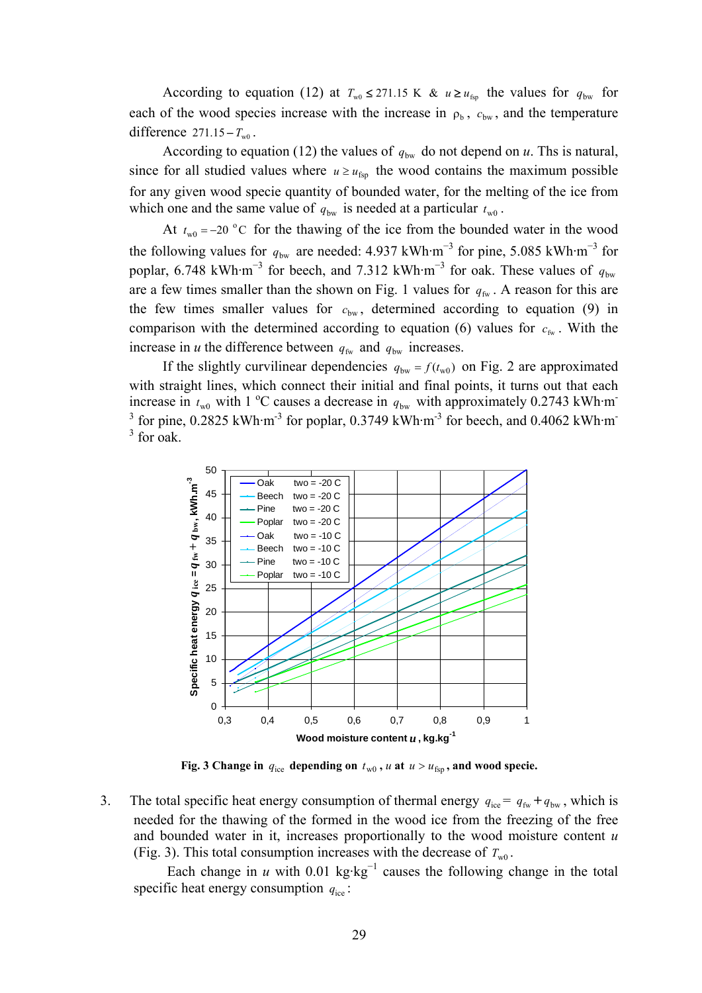According to equation (12) at  $T_{w0} \le 271.15 \text{ K}$  &  $u \ge u_{\text{fsp}}$  the values for  $q_{bw}$  for each of the wood species increase with the increase in  $\rho_b$ ,  $c_{bw}$ , and the temperature difference  $271.15 - T_{w0}$ .

According to equation (12) the values of  $q_{bw}$  do not depend on *u*. Ths is natural, since for all studied values where  $u \geq u_{fsp}$  the wood contains the maximum possible for any given wood specie quantity of bounded water, for the melting of the ice from which one and the same value of  $q_{bw}$  is needed at a particular  $t_{w0}$ .

At  $t_{w0} = -20$  °C for the thawing of the ice from the bounded water in the wood the following values for  $q_{bw}$  are needed: 4.937 kWh·m<sup>-3</sup> for pine, 5.085 kWh·m<sup>-3</sup> for poplar, 6.748 kWh·m<sup>-3</sup> for beech, and 7.312 kWh·m<sup>-3</sup> for oak. These values of  $q_{bw}$ are a few times smaller than the shown on Fig. 1 values for  $q_{fw}$ . A reason for this are the few times smaller values for  $c_{bw}$ , determined according to equation (9) in comparison with the determined according to equation (6) values for  $c_{fw}$ . With the increase in *u* the difference between  $q_{fw}$  and  $q_{bw}$  increases.

If the slightly curvilinear dependencies  $q_{bw} = f(t_{w0})$  on Fig. 2 are approximated with straight lines, which connect their initial and final points, it turns out that each increase in  $t_{w0}$  with 1 °C causes a decrease in  $q_{bw}$  with approximately 0.2743 kWh·m <sup>3</sup> for pine, 0.2825 kWh·m<sup>-3</sup> for poplar, 0.3749 kWh·m<sup>-3</sup> for beech, and 0.4062 kWh·m<sup>-3</sup>  $3$  for oak.



**Fig. 3 Change in**  $q_{ice}$  depending on  $t_{w0}$ ,  $u$  at  $u > u_{fsp}$ , and wood specie.

3. The total specific heat energy consumption of thermal energy  $q_{ice} = q_{fw} + q_{bw}$ , which is needed for the thawing of the formed in the wood ice from the freezing of the free and bounded water in it, increases proportionally to the wood moisture content *u* (Fig. 3). This total consumption increases with the decrease of  $T_{w0}$ .

Each change in *u* with 0.01 kg⋅kg<sup>-1</sup> causes the following change in the total specific heat energy consumption  $q_{\text{ice}}$ :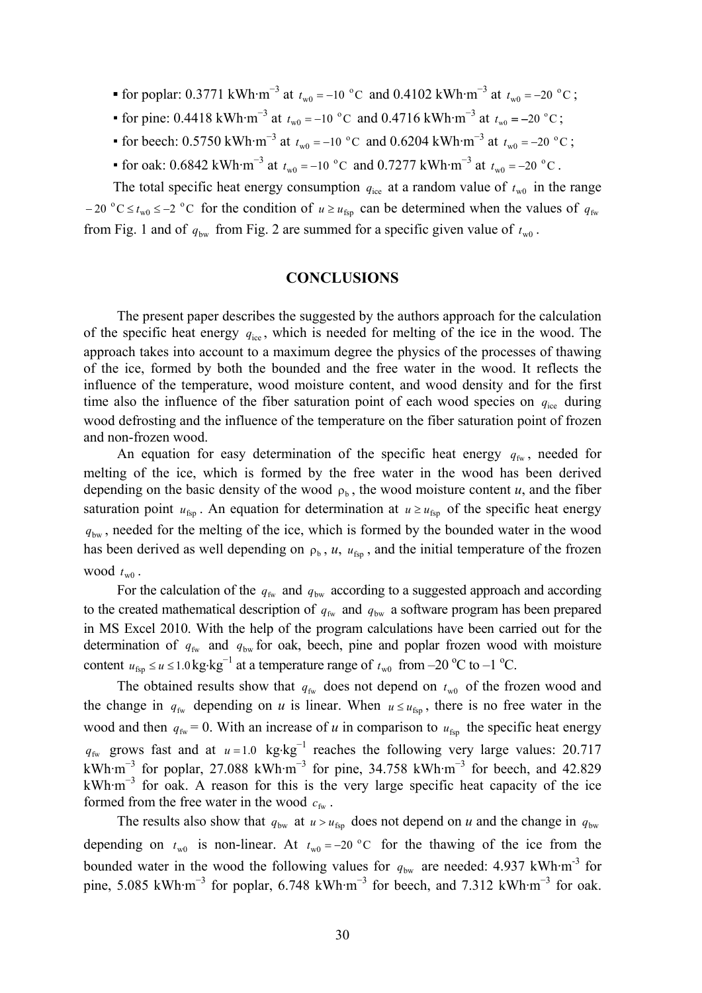- **■** for poplar: 0.3771 kWh·m<sup>-3</sup> at  $t_{w0} = -10$  °C and 0.4102 kWh·m<sup>-3</sup> at  $t_{w0} = -20$  °C;
- for pine: 0.4418 kWh·m<sup>-3</sup> at  $t_{w0} = -10$  °C and 0.4716 kWh·m<sup>-3</sup> at  $t_{w0} = -20$  °C;
- for beech: 0.5750 kWh·m<sup>-3</sup> at  $t_{w0} = -10$  °C and 0.6204 kWh·m<sup>-3</sup> at  $t_{w0} = -20$  °C;
- for oak:  $0.6842 \text{ kWh} \cdot \text{m}^{-3}$  at  $t_{w0} = -10 \text{ °C}$  and  $0.7277 \text{ kWh} \cdot \text{m}^{-3}$  at  $t_{w0} = -20 \text{ °C}$ .

The total specific heat energy consumption  $q_{ice}$  at a random value of  $t_{w0}$  in the range  $-20$  °C  $\le t_{w0} \le -2$  °C for the condition of  $u \ge u_{fsp}$  can be determined when the values of  $q_{fw}$ from Fig. 1 and of  $q_{bw}$  from Fig. 2 are summed for a specific given value of  $t_{w0}$ .

### **CONCLUSIONS**

The present paper describes the suggested by the authors approach for the calculation of the specific heat energy  $q_{\text{ice}}$ , which is needed for melting of the ice in the wood. The approach takes into account to a maximum degree the physics of the processes of thawing of the ice, formed by both the bounded and the free water in the wood. It reflects the influence of the temperature, wood moisture content, and wood density and for the first time also the influence of the fiber saturation point of each wood species on  $q_{\text{ice}}$  during wood defrosting and the influence of the temperature on the fiber saturation point of frozen and non-frozen wood.

An equation for easy determination of the specific heat energy  $q_{fw}$ , needed for melting of the ice, which is formed by the free water in the wood has been derived depending on the basic density of the wood  $\rho_b$ , the wood moisture content *u*, and the fiber saturation point  $u_{fsp}$ . An equation for determination at  $u \geq u_{fsp}$  of the specific heat energy *q*bw , needed for the melting of the ice, which is formed by the bounded water in the wood has been derived as well depending on  $\rho_b$ ,  $u$ ,  $u_{\text{fsn}}$ , and the initial temperature of the frozen wood  $t_{\rm w0}$ .

For the calculation of the  $q_{fw}$  and  $q_{bw}$  according to a suggested approach and according to the created mathematical description of  $q_{fw}$  and  $q_{bw}$  a software program has been prepared in MS Excel 2010. With the help of the program calculations have been carried out for the determination of  $q_{fw}$  and  $q_{bw}$  for oak, beech, pine and poplar frozen wood with moisture content  $u_{\text{fsp}} \le u \le 1.0 \text{ kg} \cdot \text{kg}^{-1}$  at a temperature range of  $t_{\text{w0}}$  from –20 °C to –1 °C.

The obtained results show that  $q_{fw}$  does not depend on  $t_{w0}$  of the frozen wood and the change in  $q_{fw}$  depending on *u* is linear. When  $u \leq u_{fsp}$ , there is no free water in the wood and then  $q_{fw} = 0$ . With an increase of *u* in comparison to  $u_{fsp}$  the specific heat energy  $q_{fw}$  grows fast and at  $u = 1.0$  kg⋅kg<sup>-1</sup> reaches the following very large values: 20.717 kWh·m<sup>-3</sup> for poplar, 27.088 kWh·m<sup>-3</sup> for pine, 34.758 kWh·m<sup>-3</sup> for beech, and 42.829 kWh·m<sup>−</sup><sup>3</sup> for oak. A reason for this is the very large specific heat capacity of the ice formed from the free water in the wood  $c_{fw}$ .

The results also show that  $q_{bw}$  at  $u > u_{fsn}$  does not depend on *u* and the change in  $q_{bw}$ depending on  $t_{w0}$  is non-linear. At  $t_{w0} = -20$  °C for the thawing of the ice from the bounded water in the wood the following values for  $q_{bw}$  are needed: 4.937 kWh·m<sup>-3</sup> for pine, 5.085 kWh·m<sup>-3</sup> for poplar, 6.748 kWh·m<sup>-3</sup> for beech, and 7.312 kWh·m<sup>-3</sup> for oak.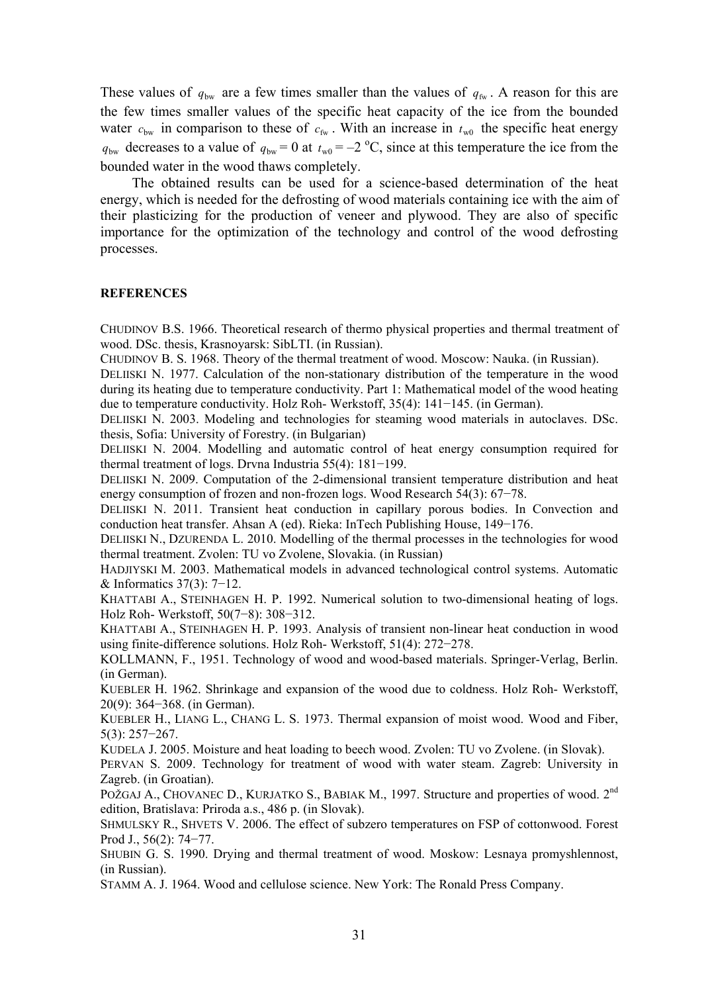These values of  $q_{bw}$  are a few times smaller than the values of  $q_{fw}$ . A reason for this are the few times smaller values of the specific heat capacity of the ice from the bounded water  $c_{\text{bw}}$  in comparison to these of  $c_{\text{fw}}$ . With an increase in  $t_{\text{w0}}$  the specific heat energy  $q_{bw}$  decreases to a value of  $q_{bw} = 0$  at  $t_{w0} = -2$  °C, since at this temperature the ice from the bounded water in the wood thaws completely.

The obtained results can be used for a science-based determination of the heat energy, which is needed for the defrosting of wood materials containing ice with the aim of their plasticizing for the production of veneer and plywood. They are also of specific importance for the optimization of the technology and control of the wood defrosting processes.

#### **REFERENCES**

CHUDINOV B.S. 1966. Theoretical research of thermo physical properties and thermal treatment of wood. DSc. thesis, Krasnoyarsk: SibLTI. (in Russian).

CHUDINOV B. S. 1968. Theory of the thermal treatment of wood. Moscow: Nauka. (in Russian).

DELIISKI N. 1977. Calculation of the non-stationary distribution of the temperature in the wood during its heating due to temperature conductivity. Part 1: Mathematical model of the wood heating due to temperature conductivity. Holz Roh- Werkstoff, 35(4): 141−145. (in German).

DELIISKI N. 2003. Modeling and technologies for steaming wood materials in autoclaves. DSc. thesis, Sofia: University of Forestry. (in Bulgarian)

DELIISKI N. 2004. Modelling and automatic control of heat energy consumption required for thermal treatment of logs. Drvna Industria 55(4): 181−199.

DELIISKI N. 2009. Computation of the 2-dimensional transient temperature distribution and heat energy consumption of frozen and non-frozen logs. Wood Research 54(3): 67−78.

DELIISKI N. 2011. Transient heat conduction in capillary porous bodies. In Convection and conduction heat transfer. Ahsan A (ed). Rieka: InTech Publishing House, 149−176.

DELIISKI N., DZURENDA L. 2010. Modelling of the thermal processes in the technologies for wood thermal treatment. Zvolen: TU vo Zvolene, Slovakia. (in Russian)

HADJIYSKI M. 2003. Mathematical models in advanced technological control systems. Automatic & Informatics 37(3): 7−12.

KHATTABI A., STEINHAGEN H. P. 1992. Numerical solution to two-dimensional heating of logs. Holz Roh- Werkstoff, 50(7−8): 308−312.

KHATTABI A., STEINHAGEN H. P. 1993. Analysis of transient non-linear heat conduction in wood using finite-difference solutions. Holz Roh- Werkstoff, 51(4): 272−278.

KOLLMANN, F., 1951. Technology of wood and wood-based materials. Springer-Verlag, Berlin. (in German).

KUEBLER H. 1962. Shrinkage and expansion of the wood due to coldness. Holz Roh- Werkstoff, 20(9): 364−368. (in German).

KUEBLER H., LIANG L., CHANG L. S. 1973. Thermal expansion of moist wood. Wood and Fiber, 5(3): 257−267.

KUDELA J. 2005. Moisture and heat loading to beech wood. Zvolen: TU vo Zvolene. (in Slovak).

PERVAN S. 2009. Technology for treatment of wood with water steam. Zagreb: University in Zagreb. (in Groatian).

POŽGAJ A., CHOVANEC D., KURJATKO S., BABIAK M., 1997. Structure and properties of wood. 2<sup>nd</sup> edition, Bratislava: Priroda a.s., 486 p. (in Slovak).

SHMULSKY R., SHVETS V. 2006. The effect of subzero temperatures on FSP of cottonwood. Forest Prod J., 56(2): 74−77.

SHUBIN G. S. 1990. Drying and thermal treatment of wood. Moskow: Lesnaya promyshlennost, (in Russian).

STAMM A. J. 1964. Wood and cellulose science. New York: The Ronald Press Company.